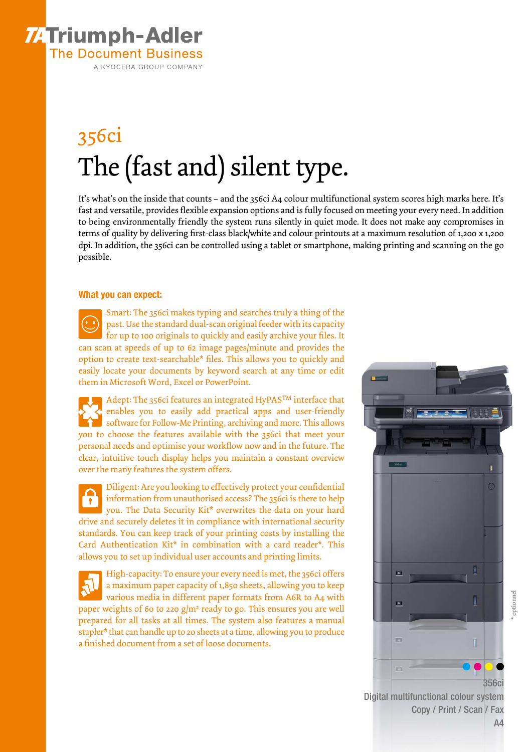

## 356ci The (fast and) silent type.

It's what's on the inside that counts – and the 356ci A4 colour multifunctional system scores high marks here. It's fast and versatile, provides flexible expansion options and is fully focused on meeting your every need. In addition to being environmentally friendly the system runs silently in quiet mode. It does not make any compromises in terms of quality by delivering first-class black/white and colour printouts at a maximum resolution of 1,200 x 1,200 dpi. In addition, the 356ci can be controlled using a tablet or smartphone, making printing and scanning on the go possible.

#### What you can expect:

Smart: The 356ci makes typing and searches truly a thing of the past. Use the standard dual-scan original feeder with its capacity for up to 100 originals to quickly and easily archive your files. It can scan at speeds of up to 62 image pages/minute and provides the option to create text-searchable\* files. This allows you to quickly and easily locate your documents by keyword search at any time or edit them in Microsoft Word, Excel or PowerPoint.

Adept: The 356ci features an integrated HyPASTM interface that enables you to easily add practical apps and user-friendly software for Follow-Me Printing, archiving and more. This allows you to choose the features available with the 356ci that meet your personal needs and optimise your workflow now and in the future. The clear, intuitive touch display helps you maintain a constant overview over the many features the system offers.

Diligent: Are you looking to effectively protect your confidential information from unauthorised access? The 356ci is there to help  $\mathbf{r}$ you. The Data Security Kit\* overwrites the data on your hard drive and securely deletes it in compliance with international security standards. You can keep track of your printing costs by installing the Card Authentication Kit\* in combination with a card reader\*. This allows you to set up individual user accounts and printing limits.

High-capacity: To ensure your every need is met, the 356ci offers a maximum paper capacity of 1,850 sheets, allowing you to keep various media in different paper formats from A6R to A4 with paper weights of 60 to 220  $g/m^2$  ready to go. This ensures you are well prepared for all tasks at all times. The system also features a manual stapler\* that can handle up to 20 sheets at a time, allowing you to produce a finished document from a set of loose documents.



Digital multifunctional colour system Copy / Print / Scan / Fax

A4

\* optionnel